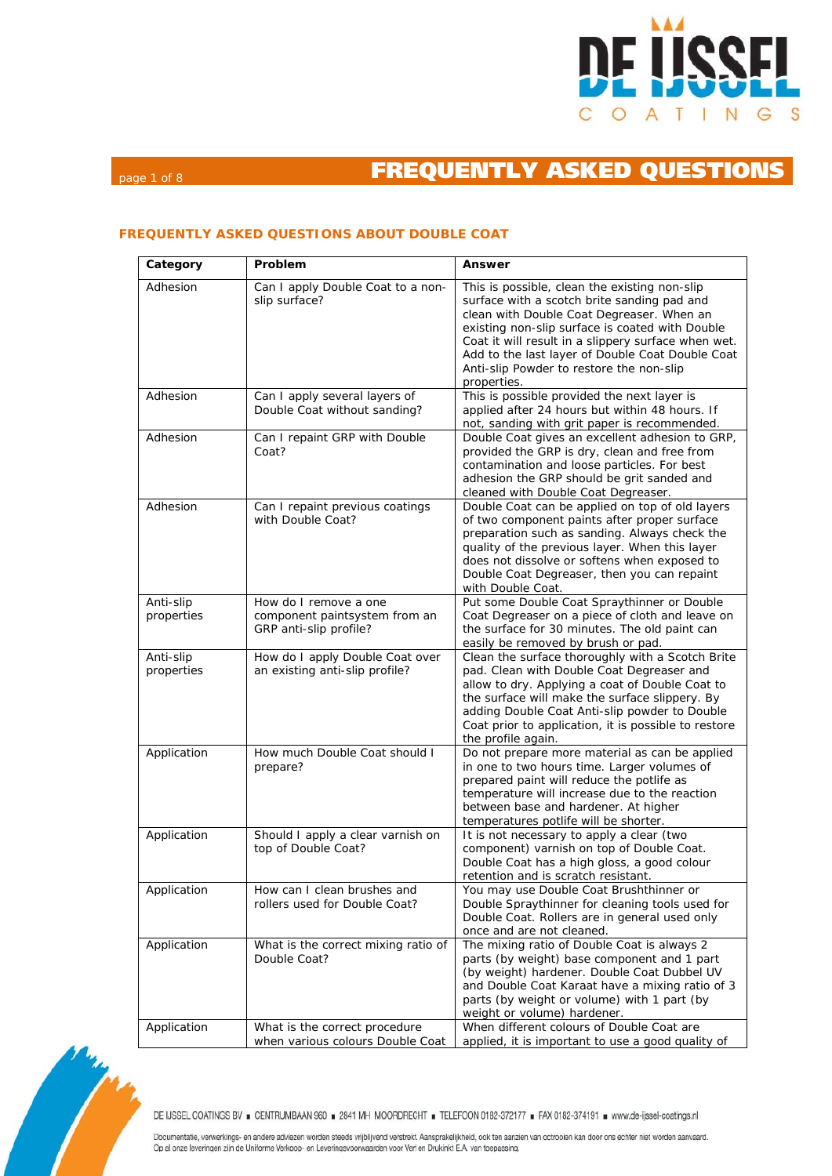

# page 1 of 8 **FREQUENTLY ASKED QUESTIONS**

### **FREQUENTLY ASKED QUESTIONS ABOUT DOUBLE COAT**

| Category    | Problem                                            | Answer                                                                                         |
|-------------|----------------------------------------------------|------------------------------------------------------------------------------------------------|
|             |                                                    |                                                                                                |
| Adhesion    | Can I apply Double Coat to a non-<br>slip surface? | This is possible, clean the existing non-slip                                                  |
|             |                                                    | surface with a scotch brite sanding pad and<br>clean with Double Coat Degreaser. When an       |
|             |                                                    | existing non-slip surface is coated with Double                                                |
|             |                                                    | Coat it will result in a slippery surface when wet.                                            |
|             |                                                    | Add to the last layer of Double Coat Double Coat                                               |
|             |                                                    | Anti-slip Powder to restore the non-slip                                                       |
|             |                                                    | properties.                                                                                    |
| Adhesion    | Can I apply several layers of                      | This is possible provided the next layer is                                                    |
|             | Double Coat without sanding?                       | applied after 24 hours but within 48 hours. If                                                 |
|             |                                                    | not, sanding with grit paper is recommended.                                                   |
| Adhesion    | Can I repaint GRP with Double                      | Double Coat gives an excellent adhesion to GRP,                                                |
|             | Coat?                                              | provided the GRP is dry, clean and free from                                                   |
|             |                                                    | contamination and loose particles. For best                                                    |
|             |                                                    | adhesion the GRP should be grit sanded and                                                     |
|             |                                                    | cleaned with Double Coat Degreaser.                                                            |
| Adhesion    | Can I repaint previous coatings                    | Double Coat can be applied on top of old layers                                                |
|             | with Double Coat?                                  | of two component paints after proper surface                                                   |
|             |                                                    | preparation such as sanding. Always check the                                                  |
|             |                                                    | quality of the previous layer. When this layer<br>does not dissolve or softens when exposed to |
|             |                                                    | Double Coat Degreaser, then you can repaint                                                    |
|             |                                                    | with Double Coat.                                                                              |
| Anti-slip   | How do I remove a one                              | Put some Double Coat Spraythinner or Double                                                    |
| properties  | component paintsystem from an                      | Coat Degreaser on a piece of cloth and leave on                                                |
|             | GRP anti-slip profile?                             | the surface for 30 minutes. The old paint can                                                  |
|             |                                                    | easily be removed by brush or pad.                                                             |
| Anti-slip   | How do I apply Double Coat over                    | Clean the surface thoroughly with a Scotch Brite                                               |
| properties  | an existing anti-slip profile?                     | pad. Clean with Double Coat Degreaser and                                                      |
|             |                                                    | allow to dry. Applying a coat of Double Coat to                                                |
|             |                                                    | the surface will make the surface slippery. By                                                 |
|             |                                                    | adding Double Coat Anti-slip powder to Double                                                  |
|             |                                                    | Coat prior to application, it is possible to restore                                           |
| Application | How much Double Coat should I                      | the profile again.<br>Do not prepare more material as can be applied                           |
|             | prepare?                                           | in one to two hours time. Larger volumes of                                                    |
|             |                                                    | prepared paint will reduce the potlife as                                                      |
|             |                                                    | temperature will increase due to the reaction                                                  |
|             |                                                    | between base and hardener. At higher                                                           |
|             |                                                    | temperatures potlife will be shorter.                                                          |
| Application | Should I apply a clear varnish on                  | It is not necessary to apply a clear (two                                                      |
|             | top of Double Coat?                                | component) varnish on top of Double Coat.                                                      |
|             |                                                    | Double Coat has a high gloss, a good colour                                                    |
|             |                                                    | retention and is scratch resistant.                                                            |
| Application | How can I clean brushes and                        | You may use Double Coat Brushthinner or                                                        |
|             | rollers used for Double Coat?                      | Double Spraythinner for cleaning tools used for                                                |
|             |                                                    | Double Coat. Rollers are in general used only                                                  |
|             |                                                    | once and are not cleaned.                                                                      |
| Application | What is the correct mixing ratio of                | The mixing ratio of Double Coat is always 2                                                    |
|             | Double Coat?                                       | parts (by weight) base component and 1 part<br>(by weight) hardener. Double Coat Dubbel UV     |
|             |                                                    | and Double Coat Karaat have a mixing ratio of 3                                                |
|             |                                                    | parts (by weight or volume) with 1 part (by                                                    |
|             |                                                    | weight or volume) hardener.                                                                    |
| Application | What is the correct procedure                      | When different colours of Double Coat are                                                      |
|             | when various colours Double Coat                   | applied, it is important to use a good quality of                                              |



DE IJSSEL COATINGS BV · CENTRUMBAAN 960 · 2841 MH MOORDRECHT · TELEFOON 0182-372177 · FAX 0182-374191 · www.de-ijssel-coatings.nl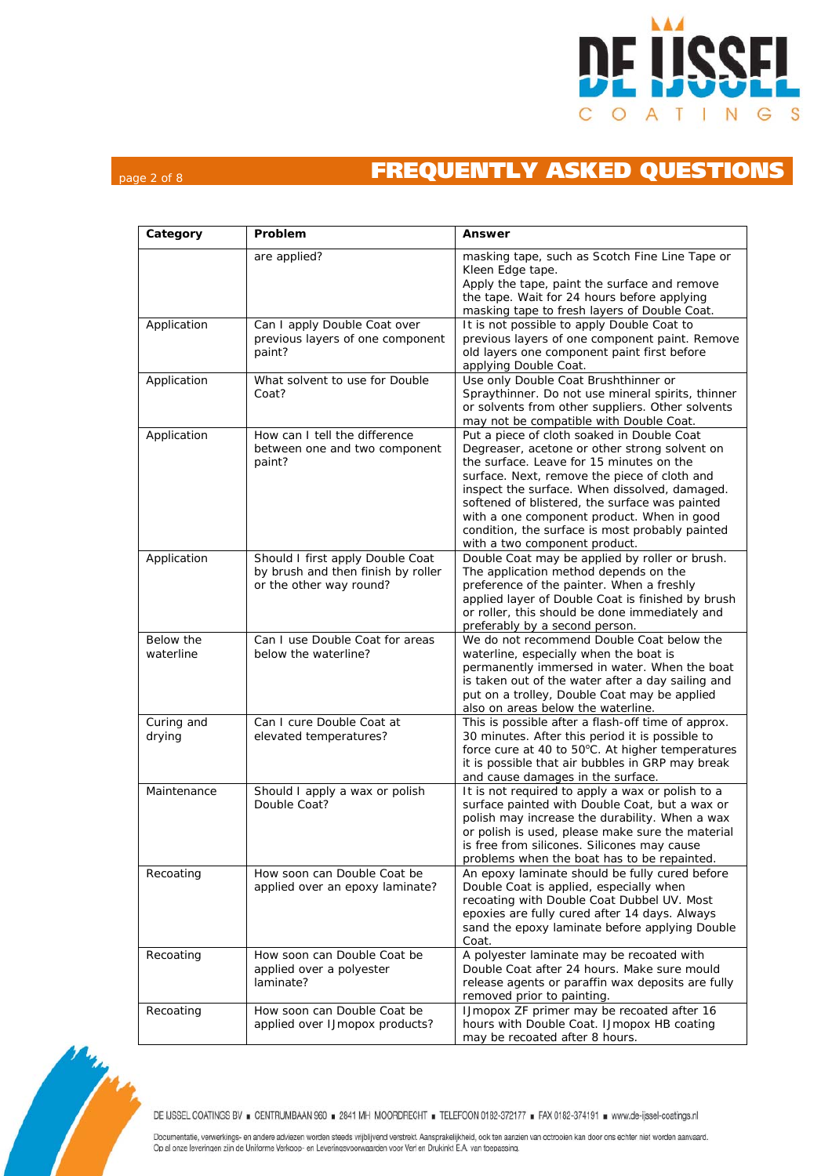

## page 2 of 8 **FREQUENTLY ASKED QUESTIONS**

| Category                      | Problem                                                                                           | Answer                                                                                                                                                                                                                                                                                                                                                                                                                       |
|-------------------------------|---------------------------------------------------------------------------------------------------|------------------------------------------------------------------------------------------------------------------------------------------------------------------------------------------------------------------------------------------------------------------------------------------------------------------------------------------------------------------------------------------------------------------------------|
|                               | are applied?                                                                                      | masking tape, such as Scotch Fine Line Tape or<br>Kleen Edge tape.<br>Apply the tape, paint the surface and remove<br>the tape. Wait for 24 hours before applying<br>masking tape to fresh layers of Double Coat.                                                                                                                                                                                                            |
| Application                   | Can I apply Double Coat over<br>previous layers of one component<br>paint?                        | It is not possible to apply Double Coat to<br>previous layers of one component paint. Remove<br>old layers one component paint first before<br>applying Double Coat.                                                                                                                                                                                                                                                         |
| Application                   | What solvent to use for Double<br>Coat?                                                           | Use only Double Coat Brushthinner or<br>Spraythinner. Do not use mineral spirits, thinner<br>or solvents from other suppliers. Other solvents<br>may not be compatible with Double Coat.                                                                                                                                                                                                                                     |
| Application                   | How can I tell the difference<br>between one and two component<br>paint?                          | Put a piece of cloth soaked in Double Coat<br>Degreaser, acetone or other strong solvent on<br>the surface. Leave for 15 minutes on the<br>surface. Next, remove the piece of cloth and<br>inspect the surface. When dissolved, damaged.<br>softened of blistered, the surface was painted<br>with a one component product. When in good<br>condition, the surface is most probably painted<br>with a two component product. |
| Application                   | Should I first apply Double Coat<br>by brush and then finish by roller<br>or the other way round? | Double Coat may be applied by roller or brush.<br>The application method depends on the<br>preference of the painter. When a freshly<br>applied layer of Double Coat is finished by brush<br>or roller, this should be done immediately and<br>preferably by a second person.                                                                                                                                                |
| <b>Below the</b><br>waterline | Can I use Double Coat for areas<br>below the waterline?                                           | We do not recommend Double Coat below the<br>waterline, especially when the boat is<br>permanently immersed in water. When the boat<br>is taken out of the water after a day sailing and<br>put on a trolley, Double Coat may be applied<br>also on areas below the waterline.                                                                                                                                               |
| Curing and<br>drying          | Can I cure Double Coat at<br>elevated temperatures?                                               | This is possible after a flash-off time of approx.<br>30 minutes. After this period it is possible to<br>force cure at 40 to 50°C. At higher temperatures<br>it is possible that air bubbles in GRP may break<br>and cause damages in the surface.                                                                                                                                                                           |
| Maintenance                   | Should I apply a wax or polish<br>Double Coat?                                                    | It is not required to apply a wax or polish to a<br>surface painted with Double Coat, but a wax or<br>polish may increase the durability. When a wax<br>or polish is used, please make sure the material<br>is free from silicones. Silicones may cause<br>problems when the boat has to be repainted.                                                                                                                       |
| Recoating                     | How soon can Double Coat be<br>applied over an epoxy laminate?                                    | An epoxy laminate should be fully cured before<br>Double Coat is applied, especially when<br>recoating with Double Coat Dubbel UV. Most<br>epoxies are fully cured after 14 days. Always<br>sand the epoxy laminate before applying Double<br>Coat.                                                                                                                                                                          |
| Recoating                     | How soon can Double Coat be<br>applied over a polyester<br>laminate?                              | A polyester laminate may be recoated with<br>Double Coat after 24 hours. Make sure mould<br>release agents or paraffin wax deposits are fully<br>removed prior to painting.                                                                                                                                                                                                                                                  |
| Recoating                     | How soon can Double Coat be<br>applied over IJmopox products?                                     | IJmopox ZF primer may be recoated after 16<br>hours with Double Coat. IJmopox HB coating<br>may be recoated after 8 hours.                                                                                                                                                                                                                                                                                                   |



DE IJSSEL COATINGS BV · CENTRUMBAAN 960 · 2841 MH MOORDRECHT · TELEFOON 0182-372177 · FAX 0182-374191 · www.de-ijssel-coatings.nl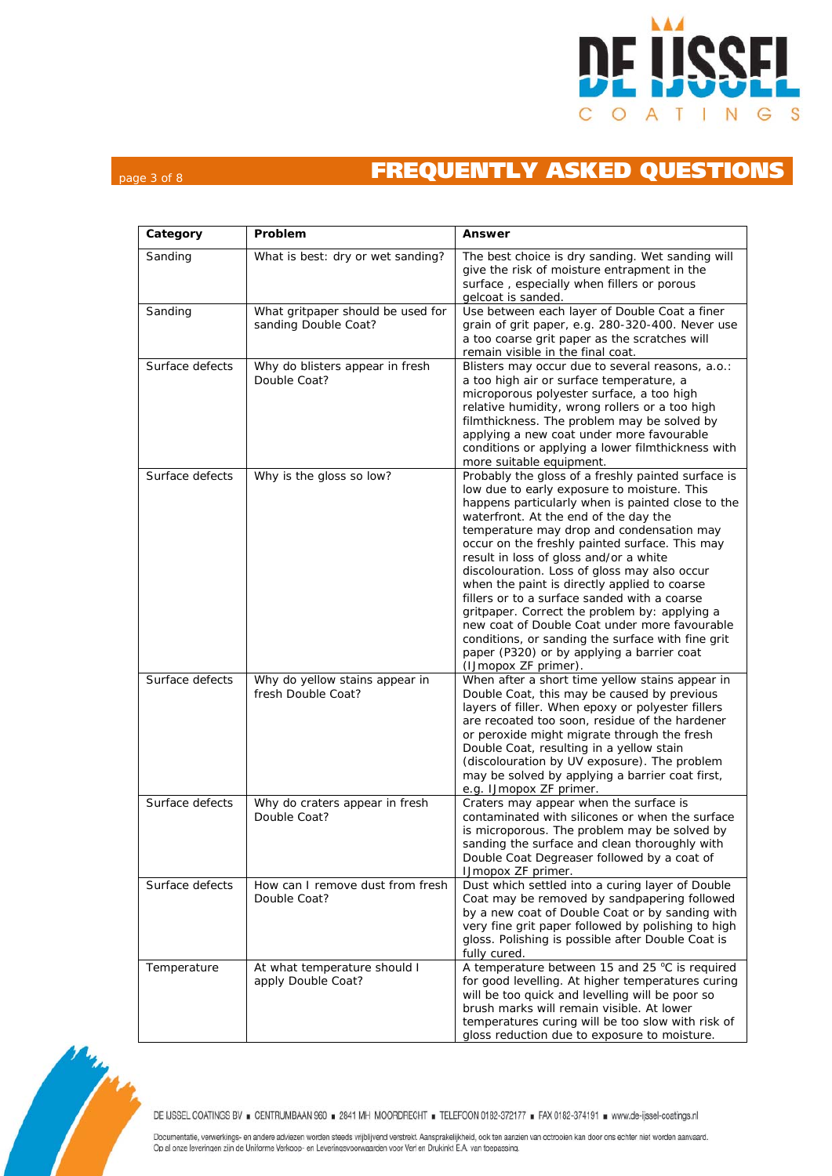

## **FREQUENTLY ASKED QUESTIONS**

| page 3 of 8 |  |  |
|-------------|--|--|
|             |  |  |

| Category        | Problem                                                   | <b>Answer</b>                                                                                                                                                                                                                                                                                                                                                                                                                                                                                                                                                                                                                                                                                                         |
|-----------------|-----------------------------------------------------------|-----------------------------------------------------------------------------------------------------------------------------------------------------------------------------------------------------------------------------------------------------------------------------------------------------------------------------------------------------------------------------------------------------------------------------------------------------------------------------------------------------------------------------------------------------------------------------------------------------------------------------------------------------------------------------------------------------------------------|
| Sanding         | What is best: dry or wet sanding?                         | The best choice is dry sanding. Wet sanding will<br>give the risk of moisture entrapment in the<br>surface, especially when fillers or porous<br>gelcoat is sanded.                                                                                                                                                                                                                                                                                                                                                                                                                                                                                                                                                   |
| Sanding         | What gritpaper should be used for<br>sanding Double Coat? | Use between each layer of Double Coat a finer<br>grain of grit paper, e.g. 280-320-400. Never use<br>a too coarse grit paper as the scratches will<br>remain visible in the final coat.                                                                                                                                                                                                                                                                                                                                                                                                                                                                                                                               |
| Surface defects | Why do blisters appear in fresh<br>Double Coat?           | Blisters may occur due to several reasons, a.o.:<br>a too high air or surface temperature, a<br>microporous polyester surface, a too high<br>relative humidity, wrong rollers or a too high<br>filmthickness. The problem may be solved by<br>applying a new coat under more favourable<br>conditions or applying a lower filmthickness with<br>more suitable equipment.                                                                                                                                                                                                                                                                                                                                              |
| Surface defects | Why is the gloss so low?                                  | Probably the gloss of a freshly painted surface is<br>low due to early exposure to moisture. This<br>happens particularly when is painted close to the<br>waterfront. At the end of the day the<br>temperature may drop and condensation may<br>occur on the freshly painted surface. This may<br>result in loss of gloss and/or a white<br>discolouration. Loss of gloss may also occur<br>when the paint is directly applied to coarse<br>fillers or to a surface sanded with a coarse<br>gritpaper. Correct the problem by: applying a<br>new coat of Double Coat under more favourable<br>conditions, or sanding the surface with fine grit<br>paper (P320) or by applying a barrier coat<br>(IJmopox ZF primer). |
| Surface defects | Why do yellow stains appear in<br>fresh Double Coat?      | When after a short time yellow stains appear in<br>Double Coat, this may be caused by previous<br>layers of filler. When epoxy or polyester fillers<br>are recoated too soon, residue of the hardener<br>or peroxide might migrate through the fresh<br>Double Coat, resulting in a yellow stain<br>(discolouration by UV exposure). The problem<br>may be solved by applying a barrier coat first,<br>e.g. IJmopox ZF primer.                                                                                                                                                                                                                                                                                        |
| Surface defects | Why do craters appear in fresh<br>Double Coat?            | Craters may appear when the surface is<br>contaminated with silicones or when the surface<br>is microporous. The problem may be solved by<br>sanding the surface and clean thoroughly with<br>Double Coat Degreaser followed by a coat of<br>IJmopox ZF primer.                                                                                                                                                                                                                                                                                                                                                                                                                                                       |
| Surface defects | How can I remove dust from fresh<br>Double Coat?          | Dust which settled into a curing layer of Double<br>Coat may be removed by sandpapering followed<br>by a new coat of Double Coat or by sanding with<br>very fine grit paper followed by polishing to high<br>gloss. Polishing is possible after Double Coat is<br>fully cured.                                                                                                                                                                                                                                                                                                                                                                                                                                        |
| Temperature     | At what temperature should I<br>apply Double Coat?        | A temperature between 15 and 25 °C is required<br>for good levelling. At higher temperatures curing<br>will be too quick and levelling will be poor so<br>brush marks will remain visible. At lower<br>temperatures curing will be too slow with risk of<br>gloss reduction due to exposure to moisture.                                                                                                                                                                                                                                                                                                                                                                                                              |



DE IJSSEL COATINGS BV · CENTRUMBAAN 960 · 2841 MH MOORDRECHT · TELEFOON 0182-372177 · FAX 0182-374191 · www.de-ijssel-coatings.nl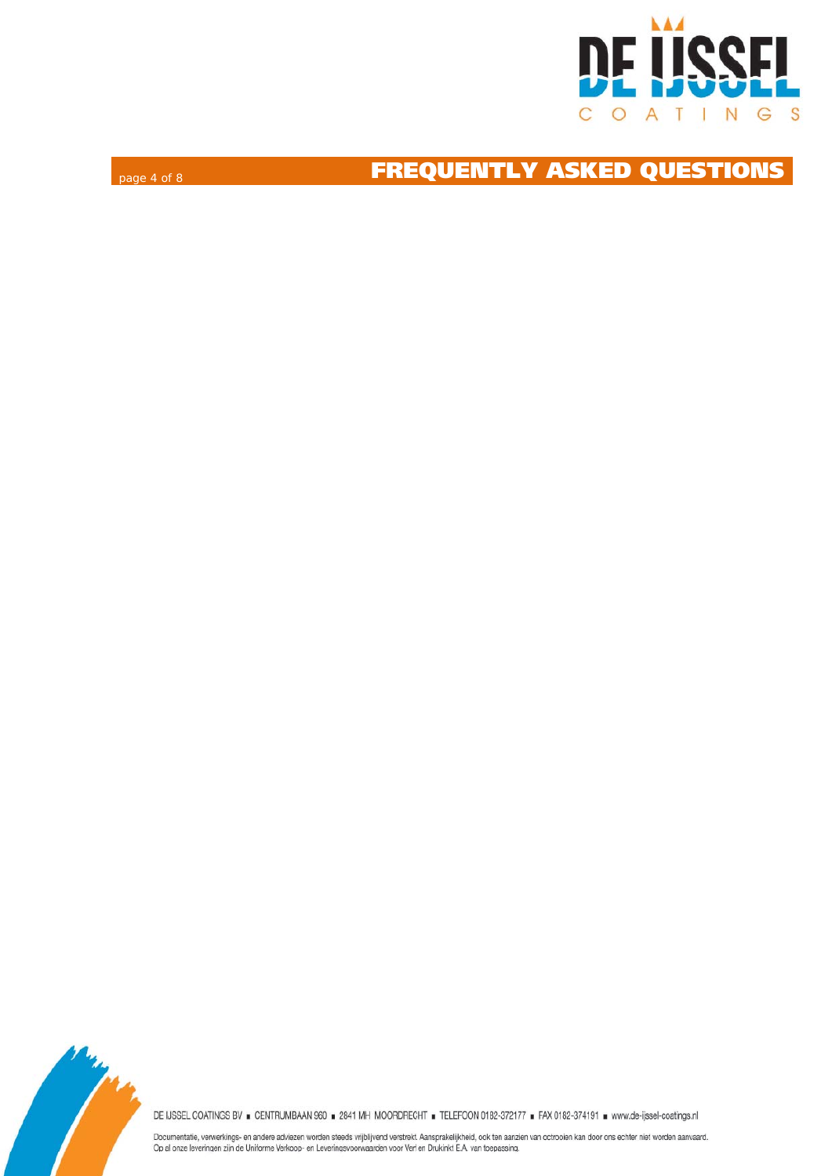

### <sup>8</sup> FREQUENTLY ASKED QUESTIONS

pag e 4 of



DE IJSSEL COATINGS BV = CENTRUMBAAN 960 = 2841 MH MOORDRECHT = TELEFOON 0182-372177 = FAX 0182-374191 = www.de-ijssel-coatings.nl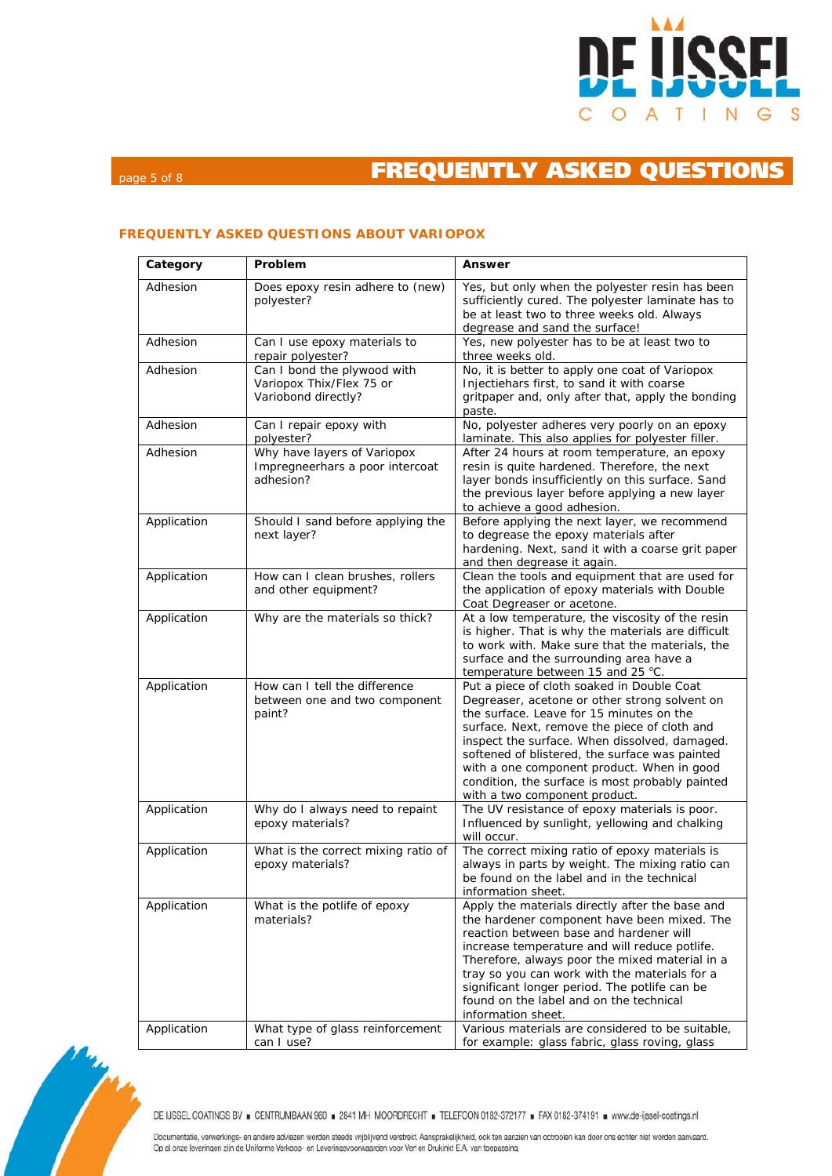

# page 5 of 8 **FREQUENTLY ASKED QUESTIONS**

### **FREQUENTLY ASKED QUESTIONS ABOUT VARIOPOX**

| Category                   | Problem                                                                        | <b>Answer</b>                                                                                                                                                                                                                                                                                                                                                                                                                                                       |
|----------------------------|--------------------------------------------------------------------------------|---------------------------------------------------------------------------------------------------------------------------------------------------------------------------------------------------------------------------------------------------------------------------------------------------------------------------------------------------------------------------------------------------------------------------------------------------------------------|
| Adhesion                   | Does epoxy resin adhere to (new)<br>polyester?                                 | Yes, but only when the polyester resin has been<br>sufficiently cured. The polyester laminate has to<br>be at least two to three weeks old. Always<br>degrease and sand the surface!                                                                                                                                                                                                                                                                                |
| <b>Adhesion</b>            | Can I use epoxy materials to<br>repair polyester?                              | Yes, new polyester has to be at least two to<br>three weeks old.                                                                                                                                                                                                                                                                                                                                                                                                    |
| Adhesion                   | Can I bond the plywood with<br>Variopox Thix/Flex 75 or<br>Variobond directly? | No, it is better to apply one coat of Variopox<br>Injectiehars first, to sand it with coarse<br>gritpaper and, only after that, apply the bonding<br>paste.                                                                                                                                                                                                                                                                                                         |
| Adhesion                   | Can I repair epoxy with<br>polyester?                                          | No, polyester adheres very poorly on an epoxy<br>laminate. This also applies for polyester filler.                                                                                                                                                                                                                                                                                                                                                                  |
| Adhesion                   | Why have layers of Variopox<br>Impregneerhars a poor intercoat<br>adhesion?    | After 24 hours at room temperature, an epoxy<br>resin is quite hardened. Therefore, the next<br>layer bonds insufficiently on this surface. Sand<br>the previous layer before applying a new layer<br>to achieve a good adhesion.                                                                                                                                                                                                                                   |
| Application                | Should I sand before applying the<br>next layer?                               | Before applying the next layer, we recommend<br>to degrease the epoxy materials after<br>hardening. Next, sand it with a coarse grit paper<br>and then degrease it again.                                                                                                                                                                                                                                                                                           |
| Application                | How can I clean brushes, rollers<br>and other equipment?                       | Clean the tools and equipment that are used for<br>the application of epoxy materials with Double<br>Coat Degreaser or acetone.                                                                                                                                                                                                                                                                                                                                     |
| Application                | Why are the materials so thick?                                                | At a low temperature, the viscosity of the resin<br>is higher. That is why the materials are difficult<br>to work with. Make sure that the materials, the<br>surface and the surrounding area have a<br>temperature between 15 and 25 °C.                                                                                                                                                                                                                           |
| Application                | How can I tell the difference<br>between one and two component<br>paint?       | Put a piece of cloth soaked in Double Coat<br>Degreaser, acetone or other strong solvent on<br>the surface. Leave for 15 minutes on the<br>surface. Next, remove the piece of cloth and<br>inspect the surface. When dissolved, damaged.<br>softened of blistered, the surface was painted<br>with a one component product. When in good<br>condition, the surface is most probably painted<br>with a two component product.                                        |
| Application                | Why do I always need to repaint<br>epoxy materials?                            | The UV resistance of epoxy materials is poor.<br>Influenced by sunlight, yellowing and chalking<br>will occur.                                                                                                                                                                                                                                                                                                                                                      |
| Application                | What is the correct mixing ratio of<br>epoxy materials?                        | The correct mixing ratio of epoxy materials is<br>always in parts by weight. The mixing ratio can<br>be found on the label and in the technical<br>information sheet.                                                                                                                                                                                                                                                                                               |
| Application<br>Application | What is the potlife of epoxy<br>materials?<br>What type of glass reinforcement | Apply the materials directly after the base and<br>the hardener component have been mixed. The<br>reaction between base and hardener will<br>increase temperature and will reduce potlife.<br>Therefore, always poor the mixed material in a<br>tray so you can work with the materials for a<br>significant longer period. The potlife can be<br>found on the label and on the technical<br>information sheet.<br>Various materials are considered to be suitable, |
|                            | can I use?                                                                     | for example: glass fabric, glass roving, glass                                                                                                                                                                                                                                                                                                                                                                                                                      |



DE IJSSEL COATINGS BV · CENTRUMBAAN 960 · 2841 MH MOORDRECHT · TELEFOON 0182-372177 · FAX 0182-374191 · www.de-ijssel-coatings.nl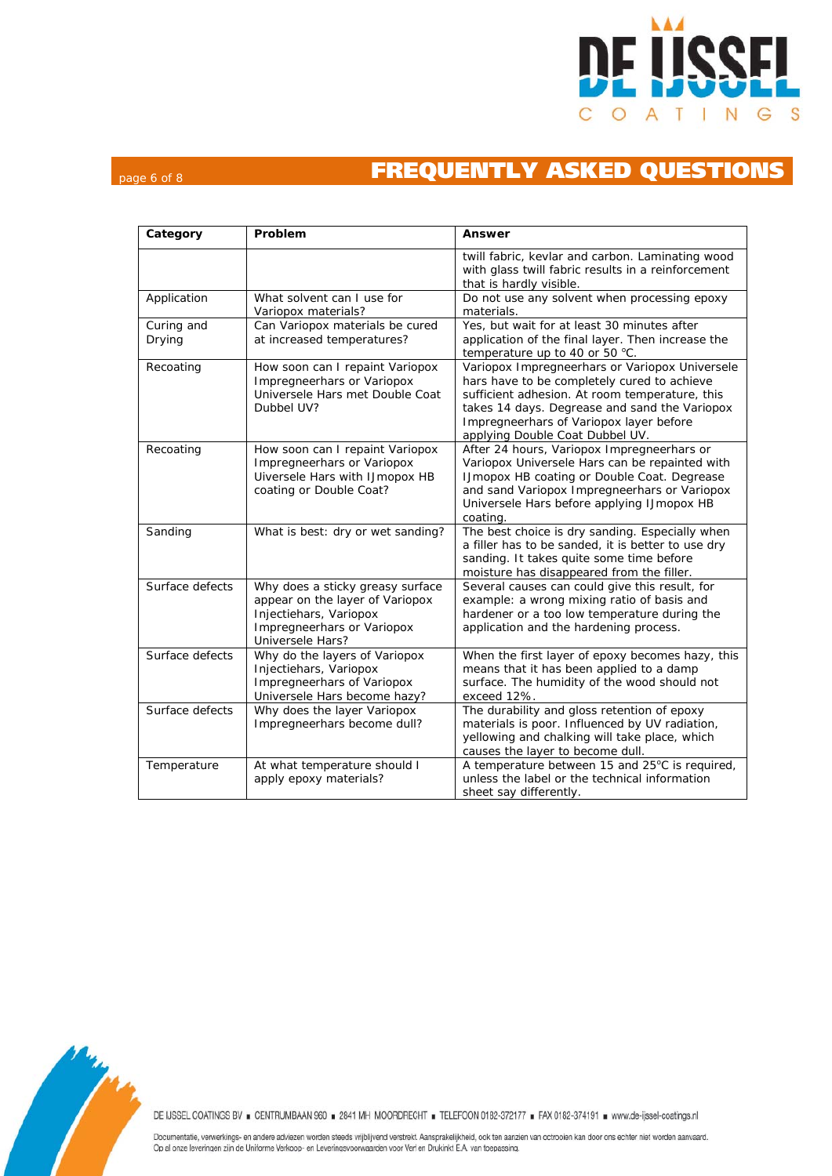

## **FREQUENTLY ASKED QUESTIONS**

| page 6 of 8 |  |  |
|-------------|--|--|
|             |  |  |

| Category             | Problem                                                                                                                                         | <b>Answer</b>                                                                                                                                                                                                                                                                  |
|----------------------|-------------------------------------------------------------------------------------------------------------------------------------------------|--------------------------------------------------------------------------------------------------------------------------------------------------------------------------------------------------------------------------------------------------------------------------------|
|                      |                                                                                                                                                 | twill fabric, kevlar and carbon. Laminating wood<br>with glass twill fabric results in a reinforcement<br>that is hardly visible.                                                                                                                                              |
| Application          | What solvent can I use for<br>Variopox materials?                                                                                               | Do not use any solvent when processing epoxy<br>materials.                                                                                                                                                                                                                     |
| Curing and<br>Drying | Can Variopox materials be cured<br>at increased temperatures?                                                                                   | Yes, but wait for at least 30 minutes after<br>application of the final layer. Then increase the<br>temperature up to 40 or 50 °C.                                                                                                                                             |
| Recoating            | How soon can I repaint Variopox<br>Impregneerhars or Variopox<br>Universele Hars met Double Coat<br>Dubbel UV?                                  | Variopox Impregneerhars or Variopox Universele<br>hars have to be completely cured to achieve<br>sufficient adhesion. At room temperature, this<br>takes 14 days. Degrease and sand the Variopox<br>Impregneerhars of Variopox layer before<br>applying Double Coat Dubbel UV. |
| Recoating            | How soon can I repaint Variopox<br>Impregneerhars or Variopox<br>Uiversele Hars with IJmopox HB<br>coating or Double Coat?                      | After 24 hours, Variopox Impregneerhars or<br>Variopox Universele Hars can be repainted with<br>IJmopox HB coating or Double Coat. Degrease<br>and sand Variopox Impregneerhars or Variopox<br>Universele Hars before applying IJmopox HB<br>coating.                          |
| Sanding              | What is best: dry or wet sanding?                                                                                                               | The best choice is dry sanding. Especially when<br>a filler has to be sanded, it is better to use dry<br>sanding. It takes quite some time before<br>moisture has disappeared from the filler.                                                                                 |
| Surface defects      | Why does a sticky greasy surface<br>appear on the layer of Variopox<br>Injectiehars, Variopox<br>Impregneerhars or Variopox<br>Universele Hars? | Several causes can could give this result, for<br>example: a wrong mixing ratio of basis and<br>hardener or a too low temperature during the<br>application and the hardening process.                                                                                         |
| Surface defects      | Why do the layers of Variopox<br>Injectiehars, Variopox<br>Impregneerhars of Variopox<br>Universele Hars become hazy?                           | When the first layer of epoxy becomes hazy, this<br>means that it has been applied to a damp<br>surface. The humidity of the wood should not<br>exceed 12%.                                                                                                                    |
| Surface defects      | Why does the layer Variopox<br>Impregneerhars become dull?                                                                                      | The durability and gloss retention of epoxy<br>materials is poor. Influenced by UV radiation,<br>yellowing and chalking will take place, which<br>causes the layer to become dull.                                                                                             |
| Temperature          | At what temperature should I<br>apply epoxy materials?                                                                                          | A temperature between 15 and 25°C is required,<br>unless the label or the technical information<br>sheet say differently.                                                                                                                                                      |

DE IJSSEL COATINGS BV = CENTRUMBAAN 960 = 2841 MH MOORDRECHT = TELEFOON 0182-372177 = FAX 0182-374191 = www.de-ijssel-coatings.nl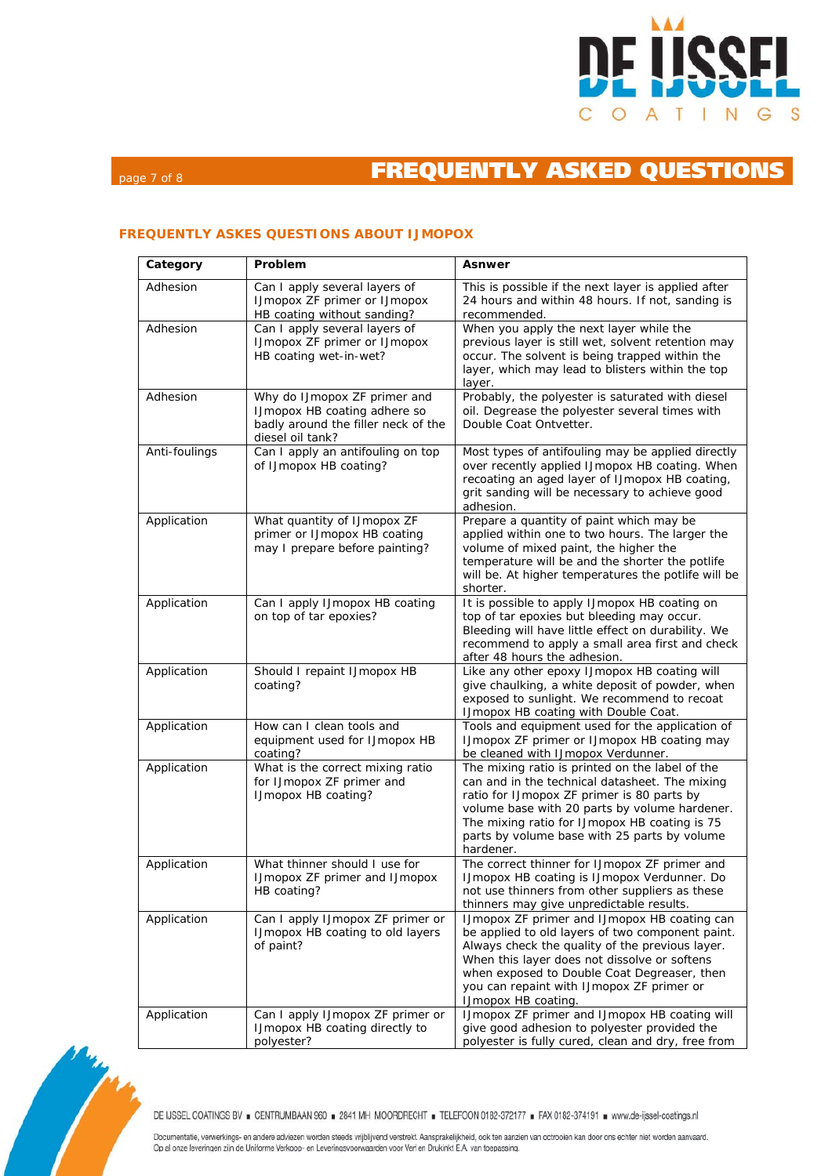

# page 7 of 8 **FREQUENTLY ASKED QUESTIONS**

#### **FREQUENTLY ASKES QUESTIONS ABOUT IJMOPOX**

| Category      | Problem                                                                                                                 | <b>Asnwer</b>                                                                                                                                                                                                                                                                                                          |
|---------------|-------------------------------------------------------------------------------------------------------------------------|------------------------------------------------------------------------------------------------------------------------------------------------------------------------------------------------------------------------------------------------------------------------------------------------------------------------|
| Adhesion      | Can I apply several layers of<br>IJmopox ZF primer or IJmopox<br>HB coating without sanding?                            | This is possible if the next layer is applied after<br>24 hours and within 48 hours. If not, sanding is<br>recommended.                                                                                                                                                                                                |
| Adhesion      | Can I apply several layers of<br>IJmopox ZF primer or IJmopox<br>HB coating wet-in-wet?                                 | When you apply the next layer while the<br>previous layer is still wet, solvent retention may<br>occur. The solvent is being trapped within the<br>layer, which may lead to blisters within the top<br>layer.                                                                                                          |
| Adhesion      | Why do IJmopox ZF primer and<br>IJmopox HB coating adhere so<br>badly around the filler neck of the<br>diesel oil tank? | Probably, the polyester is saturated with diesel<br>oil. Degrease the polyester several times with<br>Double Coat Ontvetter.                                                                                                                                                                                           |
| Anti-foulings | Can I apply an antifouling on top<br>of IJmopox HB coating?                                                             | Most types of antifouling may be applied directly<br>over recently applied IJmopox HB coating. When<br>recoating an aged layer of IJmopox HB coating,<br>grit sanding will be necessary to achieve good<br>adhesion.                                                                                                   |
| Application   | What quantity of IJmopox ZF<br>primer or IJmopox HB coating<br>may I prepare before painting?                           | Prepare a quantity of paint which may be<br>applied within one to two hours. The larger the<br>volume of mixed paint, the higher the<br>temperature will be and the shorter the potlife<br>will be. At higher temperatures the potlife will be<br>shorter.                                                             |
| Application   | Can I apply IJmopox HB coating<br>on top of tar epoxies?                                                                | It is possible to apply IJmopox HB coating on<br>top of tar epoxies but bleeding may occur.<br>Bleeding will have little effect on durability. We<br>recommend to apply a small area first and check<br>after 48 hours the adhesion.                                                                                   |
| Application   | Should I repaint IJmopox HB<br>coating?                                                                                 | Like any other epoxy IJmopox HB coating will<br>give chaulking, a white deposit of powder, when<br>exposed to sunlight. We recommend to recoat<br>IJmopox HB coating with Double Coat.                                                                                                                                 |
| Application   | How can I clean tools and<br>equipment used for IJmopox HB<br>coating?                                                  | Tools and equipment used for the application of<br>IJmopox ZF primer or IJmopox HB coating may<br>be cleaned with IJmopox Verdunner.                                                                                                                                                                                   |
| Application   | What is the correct mixing ratio<br>for IJmopox ZF primer and<br>IJmopox HB coating?                                    | The mixing ratio is printed on the label of the<br>can and in the technical datasheet. The mixing<br>ratio for IJmopox ZF primer is 80 parts by<br>volume base with 20 parts by volume hardener.<br>The mixing ratio for IJmopox HB coating is 75<br>parts by volume base with 25 parts by volume<br>hardener.         |
| Application   | What thinner should I use for<br>IJmopox ZF primer and IJmopox<br>HB coating?                                           | The correct thinner for IJmopox ZF primer and<br>IJmopox HB coating is IJmopox Verdunner. Do<br>not use thinners from other suppliers as these<br>thinners may give unpredictable results.                                                                                                                             |
| Application   | Can I apply IJmopox ZF primer or<br>IJmopox HB coating to old layers<br>of paint?                                       | IJmopox ZF primer and IJmopox HB coating can<br>be applied to old layers of two component paint.<br>Always check the quality of the previous layer.<br>When this layer does not dissolve or softens<br>when exposed to Double Coat Degreaser, then<br>you can repaint with IJmopox ZF primer or<br>IJmopox HB coating. |
| Application   | Can I apply IJmopox ZF primer or<br>IJmopox HB coating directly to<br>polyester?                                        | IJmopox ZF primer and IJmopox HB coating will<br>give good adhesion to polyester provided the<br>polyester is fully cured, clean and dry, free from                                                                                                                                                                    |



DE IJSSEL COATINGS BV · CENTRUMBAAN 960 · 2841 MH MOORDRECHT · TELEFOON 0182-372177 · FAX 0182-374191 · www.de-ijssel-coatings.nl